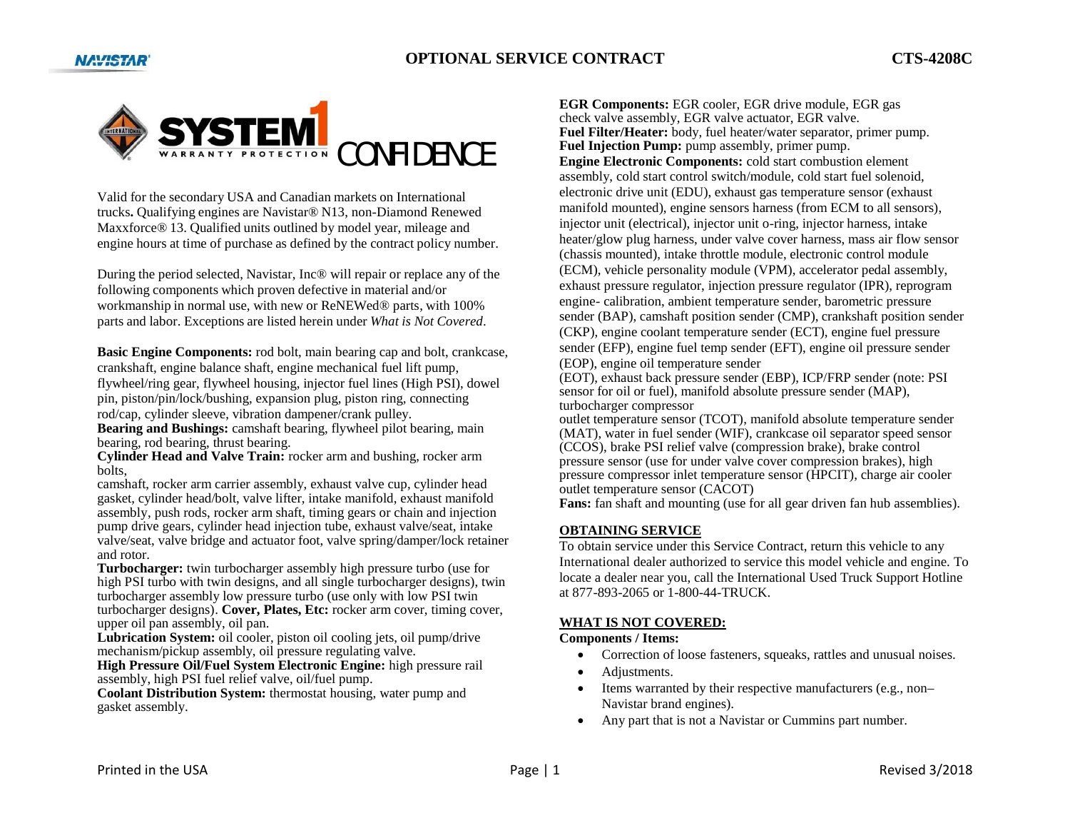



Valid for the secondary USA and Canadian markets on International trucks**.** Qualifying engines are Navistar® N13, non-Diamond Renewed Maxxforce® 13. Qualified units outlined by model year, mileage and engine hours at time of purchase as defined by the contract policy number.

During the period selected, Navistar, Inc® will repair or replace any of the following components which proven defective in material and/or workmanship in normal use, with new or ReNEWed® parts, with 100% parts and labor. Exceptions are listed herein under *What is Not Covered*.

**Basic Engine Components:** rod bolt, main bearing cap and bolt, crankcase, crankshaft, engine balance shaft, engine mechanical fuel lift pump, flywheel/ring gear, flywheel housing, injector fuel lines (High PSI), dowel pin, piston/pin/lock/bushing, expansion plug, piston ring, connecting rod/cap, cylinder sleeve, vibration dampener/crank pulley.

**Bearing and Bushings:** camshaft bearing, flywheel pilot bearing, main bearing, rod bearing, thrust bearing.

**Cylinder Head and Valve Train:** rocker arm and bushing, rocker arm bolts,

camshaft, rocker arm carrier assembly, exhaust valve cup, cylinder head gasket, cylinder head/bolt, valve lifter, intake manifold, exhaust manifold assembly, push rods, rocker arm shaft, timing gears or chain and injection pump drive gears, cylinder head injection tube, exhaust valve/seat, intake valve/seat, valve bridge and actuator foot, valve spring/damper/lock retainer and rotor.

**Turbocharger:** twin turbocharger assembly high pressure turbo (use for high PSI turbo with twin designs, and all single turbocharger designs), twin turbocharger assembly low pressure turbo (use only with low PSI twin turbocharger designs). **Cover, Plates, Etc:** rocker arm cover, timing cover, upper oil pan assembly, oil pan.

Lubrication System: oil cooler, piston oil cooling jets, oil pump/drive mechanism/pickup assembly, oil pressure regulating valve.

**High Pressure Oil/Fuel System Electronic Engine:** high pressure rail assembly, high PSI fuel relief valve, oil/fuel pump.

**Coolant Distribution System:** thermostat housing, water pump and gasket assembly.

**EGR Components:** EGR cooler, EGR drive module, EGR gas check valve assembly, EGR valve actuator, EGR valve. **Fuel Filter/Heater:** body, fuel heater/water separator, primer pump. Fuel Injection Pump: pump assembly, primer pump. **Engine Electronic Components:** cold start combustion element assembly, cold start control switch/module, cold start fuel solenoid, electronic drive unit (EDU), exhaust gas temperature sensor (exhaust manifold mounted), engine sensors harness (from ECM to all sensors), injector unit (electrical), injector unit o-ring, injector harness, intake heater/glow plug harness, under valve cover harness, mass air flow sensor (chassis mounted), intake throttle module, electronic control module (ECM), vehicle personality module (VPM), accelerator pedal assembly, exhaust pressure regulator, injection pressure regulator (IPR), reprogram engine- calibration, ambient temperature sender, barometric pressure sender (BAP), camshaft position sender (CMP), crankshaft position sender (CKP), engine coolant temperature sender (ECT), engine fuel pressure sender (EFP), engine fuel temp sender (EFT), engine oil pressure sender (EOP), engine oil temperature sender

(EOT), exhaust back pressure sender (EBP), ICP/FRP sender (note: PSI sensor for oil or fuel), manifold absolute pressure sender (MAP), turbocharger compressor

outlet temperature sensor (TCOT), manifold absolute temperature sender (MAT), water in fuel sender (WIF), crankcase oil separator speed sensor (CCOS), brake PSI relief valve (compression brake), brake control pressure sensor (use for under valve cover compression brakes), high pressure compressor inlet temperature sensor (HPCIT), charge air cooler outlet temperature sensor (CACOT)

**Fans:** fan shaft and mounting (use for all gear driven fan hub assemblies).

#### **OBTAINING SERVICE**

To obtain service under this Service Contract, return this vehicle to any International dealer authorized to service this model vehicle and engine. To locate a dealer near you, call the International Used Truck Support Hotline at 877-893-2065 or 1-800-44-TRUCK.

### **WHAT IS NOT COVERED:**

#### **Components / Items:**

- $\bullet$ Correction of loose fasteners, squeaks, rattles and unusual noises.
- $\bullet$ Adjustments.
- $\bullet$  Items warranted by their respective manufacturers (e.g., non– Navistar brand engines).
- $\bullet$ Any part that is not a Navistar or Cummins part number.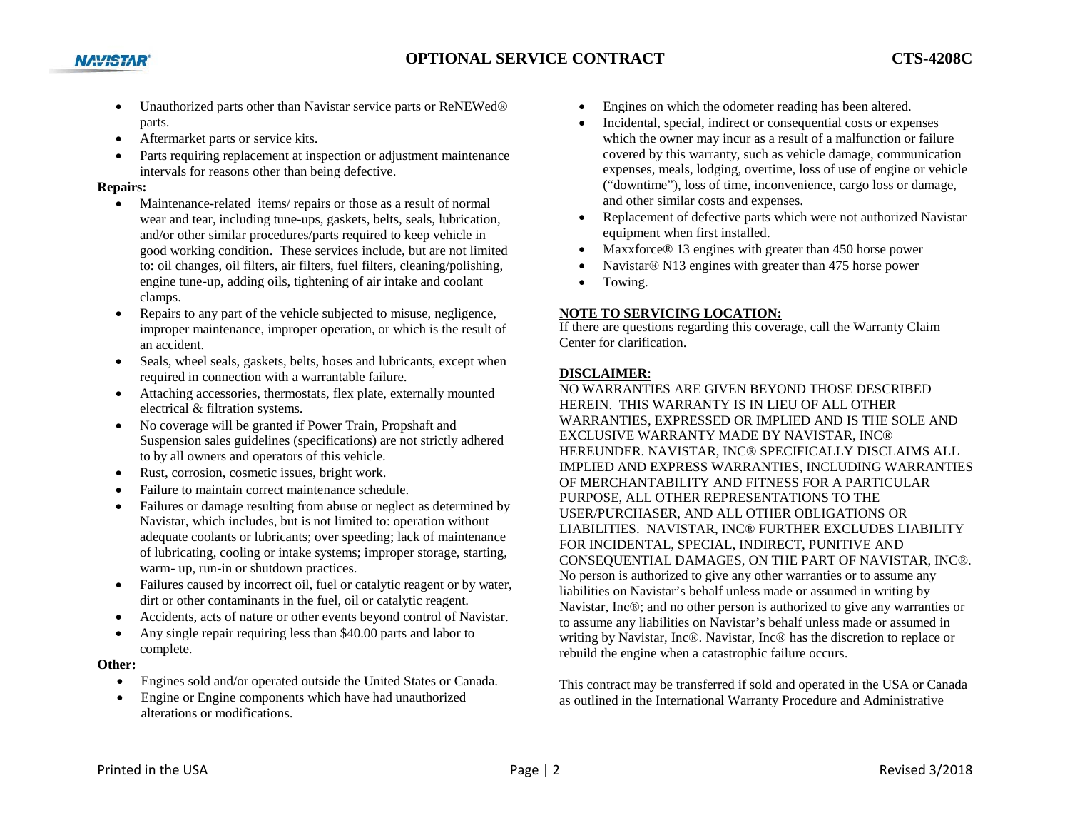- Unauthorized parts other than Navistar service parts or ReNEWed® parts.
- $\bullet$ Aftermarket parts or service kits.
- Parts requiring replacement at inspection or adjustment maintenance intervals for reasons other than being defective.

### **Repairs:**

**NAVISTAR** 

- c Maintenance-related items/ repairs or those as a result of normal wear and tear, including tune-ups, gaskets, belts, seals, lubrication, and/or other similar procedures/parts required to keep vehicle in good working condition. These services include, but are not limited to: oil changes, oil filters, air filters, fuel filters, cleaning/polishing, engine tune-up, adding oils, tightening of air intake and coolant clamps.
- $\bullet$  Repairs to any part of the vehicle subjected to misuse, negligence, improper maintenance, improper operation, or which is the result of an accident.
- $\bullet$  Seals, wheel seals, gaskets, belts, hoses and lubricants, except when required in connection with a warrantable failure.
- e Attaching accessories, thermostats, flex plate, externally mounted electrical & filtration systems.
- $\bullet$  No coverage will be granted if Power Train, Propshaft and Suspension sales guidelines (specifications) are not strictly adhered to by all owners and operators of this vehicle.
- $\bullet$ Rust, corrosion, cosmetic issues, bright work.
- 0 Failure to maintain correct maintenance schedule.
- $\bullet$  Failures or damage resulting from abuse or neglect as determined by Navistar, which includes, but is not limited to: operation without adequate coolants or lubricants; over speeding; lack of maintenance of lubricating, cooling or intake systems; improper storage, starting, warm- up, run-in or shutdown practices.
- $\bullet$  Failures caused by incorrect oil, fuel or catalytic reagent or by water, dirt or other contaminants in the fuel, oil or catalytic reagent.
- 0 Accidents, acts of nature or other events beyond control of Navistar.
- $\bullet$  Any single repair requiring less than \$40.00 parts and labor to complete.

## **Other:**

- $\bullet$ Engines sold and/or operated outside the United States or Canada.
- . Engine or Engine components which have had unauthorized alterations or modifications.
- . Engines on which the odometer reading has been altered.
- . Incidental, special, indirect or consequential costs or expenses which the owner may incur as a result of a malfunction or failure covered by this warranty, such as vehicle damage, communication expenses, meals, lodging, overtime, loss of use of engine or vehicle ("downtime"), loss of time, inconvenience, cargo loss or damage, and other similar costs and expenses.
- $\bullet$  Replacement of defective parts which were not authorized Navistar equipment when first installed.
- $\bullet$ Maxxforce® 13 engines with greater than 450 horse power
- $\bullet$ Navistar® N13 engines with greater than 475 horse power
- $\bullet$ Towing.

# **NOTE TO SERVICING LOCATION:**

If there are questions regarding this coverage, call the Warranty Claim Center for clarification.

## **DISCLAIMER**:

NO WARRANTIES ARE GIVEN BEYOND THOSE DESCRIBED HEREIN. THIS WARRANTY IS IN LIEU OF ALL OTHER WARRANTIES, EXPRESSED OR IMPLIED AND IS THE SOLE AND EXCLUSIVE WARRANTY MADE BY NAVISTAR, INC® HEREUNDER. NAVISTAR, INC® SPECIFICALLY DISCLAIMS ALL IMPLIED AND EXPRESS WARRANTIES, INCLUDING WARRANTIES OF MERCHANTABILITY AND FITNESS FOR A PARTICULAR PURPOSE, ALL OTHER REPRESENTATIONS TO THE USER/PURCHASER, AND ALL OTHER OBLIGATIONS OR LIABILITIES. NAVISTAR, INC® FURTHER EXCLUDES LIABILITY FOR INCIDENTAL, SPECIAL, INDIRECT, PUNITIVE AND CONSEQUENTIAL DAMAGES, ON THE PART OF NAVISTAR, INC®. No person is authorized to give any other warranties or to assume any liabilities on Navistar's behalf unless made or assumed in writing by Navistar, Inc®; and no other person is authorized to give any warranties or to assume any liabilities on Navistar's behalf unless made or assumed in writing by Navistar, Inc®. Navistar, Inc® has the discretion to replace or rebuild the engine when a catastrophic failure occurs.

This contract may be transferred if sold and operated in the USA or Canada as outlined in the International Warranty Procedure and Administrative